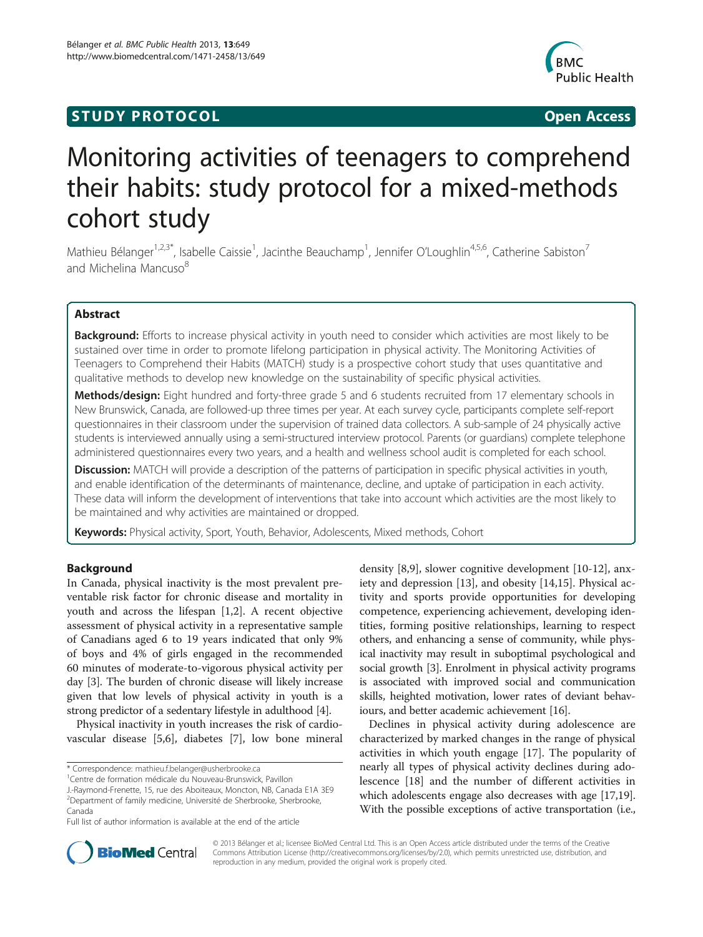# **STUDY PROTOCOL CONSUMING THE CONSUMING OPEN ACCESS**



# Monitoring activities of teenagers to comprehend their habits: study protocol for a mixed-methods cohort study

Mathieu Bélanger<sup>1,2,3\*</sup>, Isabelle Caissie<sup>1</sup>, Jacinthe Beauchamp<sup>1</sup>, Jennifer O'Loughlin<sup>4,5,6</sup>, Catherine Sabiston<sup>7</sup> and Michelina Mancuso<sup>8</sup>

# Abstract

Background: Efforts to increase physical activity in youth need to consider which activities are most likely to be sustained over time in order to promote lifelong participation in physical activity. The Monitoring Activities of Teenagers to Comprehend their Habits (MATCH) study is a prospective cohort study that uses quantitative and qualitative methods to develop new knowledge on the sustainability of specific physical activities.

Methods/design: Eight hundred and forty-three grade 5 and 6 students recruited from 17 elementary schools in New Brunswick, Canada, are followed-up three times per year. At each survey cycle, participants complete self-report questionnaires in their classroom under the supervision of trained data collectors. A sub-sample of 24 physically active students is interviewed annually using a semi-structured interview protocol. Parents (or guardians) complete telephone administered questionnaires every two years, and a health and wellness school audit is completed for each school.

Discussion: MATCH will provide a description of the patterns of participation in specific physical activities in youth, and enable identification of the determinants of maintenance, decline, and uptake of participation in each activity. These data will inform the development of interventions that take into account which activities are the most likely to be maintained and why activities are maintained or dropped.

Keywords: Physical activity, Sport, Youth, Behavior, Adolescents, Mixed methods, Cohort

# Background

In Canada, physical inactivity is the most prevalent preventable risk factor for chronic disease and mortality in youth and across the lifespan [[1,2\]](#page-4-0). A recent objective assessment of physical activity in a representative sample of Canadians aged 6 to 19 years indicated that only 9% of boys and 4% of girls engaged in the recommended 60 minutes of moderate-to-vigorous physical activity per day [[3\]](#page-4-0). The burden of chronic disease will likely increase given that low levels of physical activity in youth is a strong predictor of a sedentary lifestyle in adulthood [\[4\]](#page-4-0).

Physical inactivity in youth increases the risk of cardiovascular disease [[5,6\]](#page-4-0), diabetes [[7\]](#page-4-0), low bone mineral density [[8,9\]](#page-4-0), slower cognitive development [[10-](#page-4-0)[12\]](#page-5-0), anxiety and depression [[13\]](#page-5-0), and obesity [\[14,15](#page-5-0)]. Physical activity and sports provide opportunities for developing competence, experiencing achievement, developing identities, forming positive relationships, learning to respect others, and enhancing a sense of community, while physical inactivity may result in suboptimal psychological and social growth [\[3](#page-4-0)]. Enrolment in physical activity programs is associated with improved social and communication skills, heighted motivation, lower rates of deviant behaviours, and better academic achievement [[16](#page-5-0)].

Declines in physical activity during adolescence are characterized by marked changes in the range of physical activities in which youth engage [\[17](#page-5-0)]. The popularity of nearly all types of physical activity declines during adolescence [\[18](#page-5-0)] and the number of different activities in which adolescents engage also decreases with age [\[17,19](#page-5-0)]. With the possible exceptions of active transportation (i.e.,



© 2013 Bélanger et al.; licensee BioMed Central Ltd. This is an Open Access article distributed under the terms of the Creative Commons Attribution License [\(http://creativecommons.org/licenses/by/2.0\)](http://creativecommons.org/licenses/by/2.0), which permits unrestricted use, distribution, and reproduction in any medium, provided the original work is properly cited.

<sup>\*</sup> Correspondence: [mathieu.f.belanger@usherbrooke.ca](mailto:mathieu.f.belanger@usherbrooke.ca) <sup>1</sup>

Centre de formation médicale du Nouveau-Brunswick, Pavillon

J.-Raymond-Frenette, 15, rue des Aboiteaux, Moncton, NB, Canada E1A 3E9 <sup>2</sup>Department of family medicine, Université de Sherbrooke, Sherbrooke, Canada

Full list of author information is available at the end of the article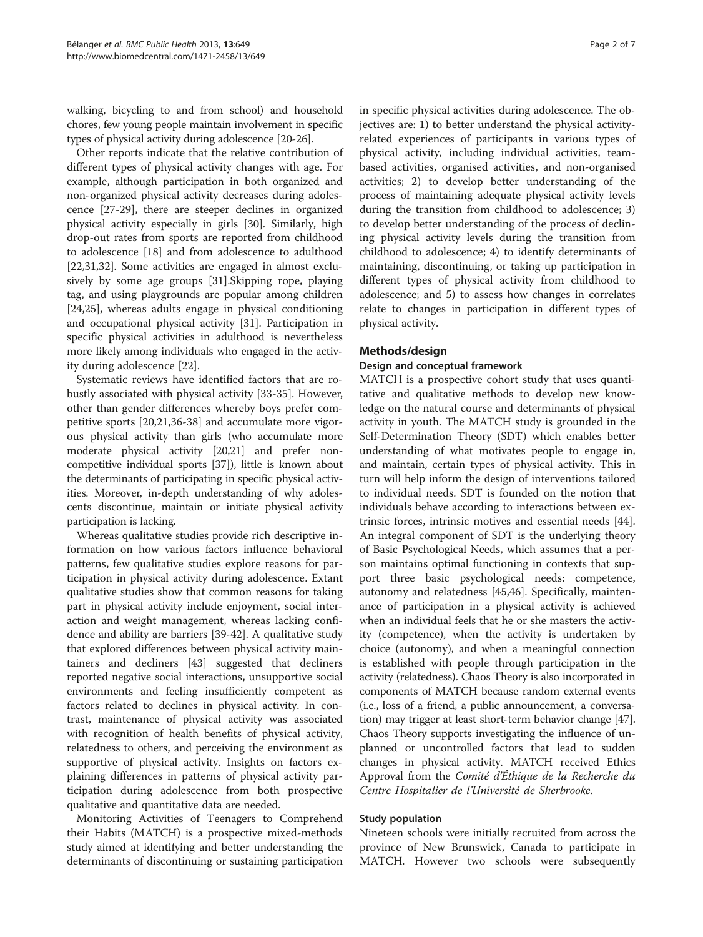walking, bicycling to and from school) and household chores, few young people maintain involvement in specific types of physical activity during adolescence [[20](#page-5-0)-[26](#page-5-0)].

Other reports indicate that the relative contribution of different types of physical activity changes with age. For example, although participation in both organized and non-organized physical activity decreases during adolescence [\[27-29](#page-5-0)], there are steeper declines in organized physical activity especially in girls [[30\]](#page-5-0). Similarly, high drop-out rates from sports are reported from childhood to adolescence [[18](#page-5-0)] and from adolescence to adulthood [[22,31,32\]](#page-5-0). Some activities are engaged in almost exclusively by some age groups [[31\]](#page-5-0).Skipping rope, playing tag, and using playgrounds are popular among children [[24,25\]](#page-5-0), whereas adults engage in physical conditioning and occupational physical activity [\[31](#page-5-0)]. Participation in specific physical activities in adulthood is nevertheless more likely among individuals who engaged in the activity during adolescence [\[22](#page-5-0)].

Systematic reviews have identified factors that are robustly associated with physical activity [[33-35](#page-5-0)]. However, other than gender differences whereby boys prefer competitive sports [[20,21,36-38\]](#page-5-0) and accumulate more vigorous physical activity than girls (who accumulate more moderate physical activity [\[20,21](#page-5-0)] and prefer noncompetitive individual sports [\[37\]](#page-5-0)), little is known about the determinants of participating in specific physical activities. Moreover, in-depth understanding of why adolescents discontinue, maintain or initiate physical activity participation is lacking.

Whereas qualitative studies provide rich descriptive information on how various factors influence behavioral patterns, few qualitative studies explore reasons for participation in physical activity during adolescence. Extant qualitative studies show that common reasons for taking part in physical activity include enjoyment, social interaction and weight management, whereas lacking confidence and ability are barriers [\[39-42](#page-5-0)]. A qualitative study that explored differences between physical activity maintainers and decliners [\[43](#page-5-0)] suggested that decliners reported negative social interactions, unsupportive social environments and feeling insufficiently competent as factors related to declines in physical activity. In contrast, maintenance of physical activity was associated with recognition of health benefits of physical activity, relatedness to others, and perceiving the environment as supportive of physical activity. Insights on factors explaining differences in patterns of physical activity participation during adolescence from both prospective qualitative and quantitative data are needed.

Monitoring Activities of Teenagers to Comprehend their Habits (MATCH) is a prospective mixed-methods study aimed at identifying and better understanding the determinants of discontinuing or sustaining participation

in specific physical activities during adolescence. The objectives are: 1) to better understand the physical activityrelated experiences of participants in various types of physical activity, including individual activities, teambased activities, organised activities, and non-organised activities; 2) to develop better understanding of the process of maintaining adequate physical activity levels during the transition from childhood to adolescence; 3) to develop better understanding of the process of declining physical activity levels during the transition from childhood to adolescence; 4) to identify determinants of maintaining, discontinuing, or taking up participation in different types of physical activity from childhood to adolescence; and 5) to assess how changes in correlates relate to changes in participation in different types of physical activity.

### Methods/design

#### Design and conceptual framework

MATCH is a prospective cohort study that uses quantitative and qualitative methods to develop new knowledge on the natural course and determinants of physical activity in youth. The MATCH study is grounded in the Self-Determination Theory (SDT) which enables better understanding of what motivates people to engage in, and maintain, certain types of physical activity. This in turn will help inform the design of interventions tailored to individual needs. SDT is founded on the notion that individuals behave according to interactions between extrinsic forces, intrinsic motives and essential needs [\[44](#page-5-0)]. An integral component of SDT is the underlying theory of Basic Psychological Needs, which assumes that a person maintains optimal functioning in contexts that support three basic psychological needs: competence, autonomy and relatedness [[45,46\]](#page-5-0). Specifically, maintenance of participation in a physical activity is achieved when an individual feels that he or she masters the activity (competence), when the activity is undertaken by choice (autonomy), and when a meaningful connection is established with people through participation in the activity (relatedness). Chaos Theory is also incorporated in components of MATCH because random external events (i.e., loss of a friend, a public announcement, a conversation) may trigger at least short-term behavior change [[47](#page-5-0)]. Chaos Theory supports investigating the influence of unplanned or uncontrolled factors that lead to sudden changes in physical activity. MATCH received Ethics Approval from the Comité d'Éthique de la Recherche du Centre Hospitalier de l'Université de Sherbrooke.

#### Study population

Nineteen schools were initially recruited from across the province of New Brunswick, Canada to participate in MATCH. However two schools were subsequently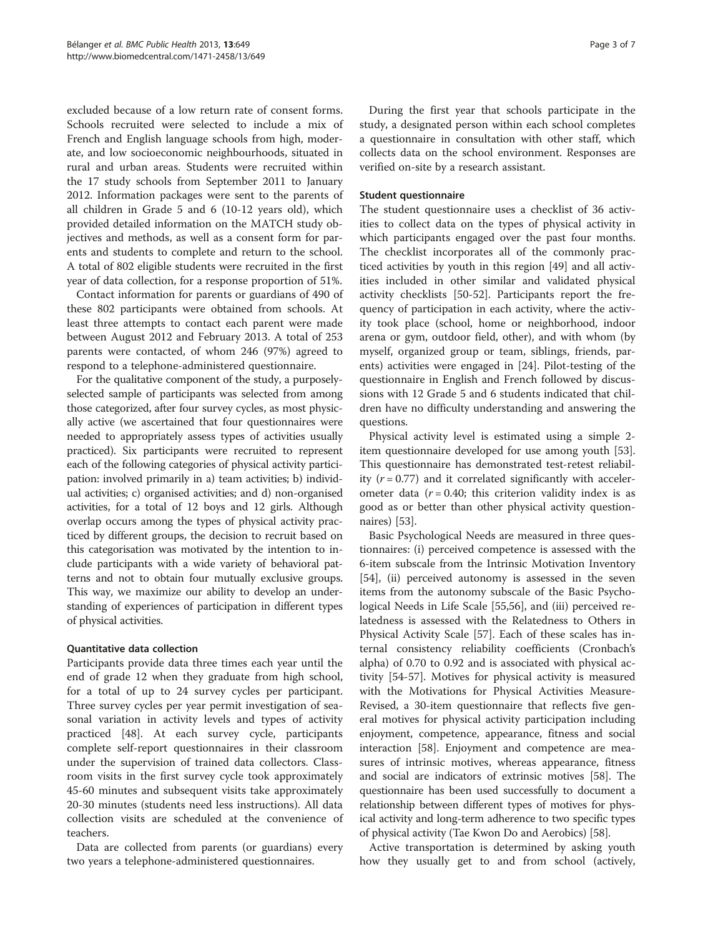excluded because of a low return rate of consent forms. Schools recruited were selected to include a mix of French and English language schools from high, moderate, and low socioeconomic neighbourhoods, situated in rural and urban areas. Students were recruited within the 17 study schools from September 2011 to January 2012. Information packages were sent to the parents of all children in Grade 5 and 6 (10-12 years old), which provided detailed information on the MATCH study objectives and methods, as well as a consent form for parents and students to complete and return to the school. A total of 802 eligible students were recruited in the first year of data collection, for a response proportion of 51%.

Contact information for parents or guardians of 490 of these 802 participants were obtained from schools. At least three attempts to contact each parent were made between August 2012 and February 2013. A total of 253 parents were contacted, of whom 246 (97%) agreed to respond to a telephone-administered questionnaire.

For the qualitative component of the study, a purposelyselected sample of participants was selected from among those categorized, after four survey cycles, as most physically active (we ascertained that four questionnaires were needed to appropriately assess types of activities usually practiced). Six participants were recruited to represent each of the following categories of physical activity participation: involved primarily in a) team activities; b) individual activities; c) organised activities; and d) non-organised activities, for a total of 12 boys and 12 girls. Although overlap occurs among the types of physical activity practiced by different groups, the decision to recruit based on this categorisation was motivated by the intention to include participants with a wide variety of behavioral patterns and not to obtain four mutually exclusive groups. This way, we maximize our ability to develop an understanding of experiences of participation in different types of physical activities.

# Quantitative data collection

Participants provide data three times each year until the end of grade 12 when they graduate from high school, for a total of up to 24 survey cycles per participant. Three survey cycles per year permit investigation of seasonal variation in activity levels and types of activity practiced [\[48\]](#page-5-0). At each survey cycle, participants complete self-report questionnaires in their classroom under the supervision of trained data collectors. Classroom visits in the first survey cycle took approximately 45-60 minutes and subsequent visits take approximately 20-30 minutes (students need less instructions). All data collection visits are scheduled at the convenience of teachers.

Data are collected from parents (or guardians) every two years a telephone-administered questionnaires.

During the first year that schools participate in the study, a designated person within each school completes a questionnaire in consultation with other staff, which collects data on the school environment. Responses are verified on-site by a research assistant.

## Student questionnaire

The student questionnaire uses a checklist of 36 activities to collect data on the types of physical activity in which participants engaged over the past four months. The checklist incorporates all of the commonly practiced activities by youth in this region [\[49](#page-5-0)] and all activities included in other similar and validated physical activity checklists [\[50](#page-5-0)-[52\]](#page-5-0). Participants report the frequency of participation in each activity, where the activity took place (school, home or neighborhood, indoor arena or gym, outdoor field, other), and with whom (by myself, organized group or team, siblings, friends, parents) activities were engaged in [\[24\]](#page-5-0). Pilot-testing of the questionnaire in English and French followed by discussions with 12 Grade 5 and 6 students indicated that children have no difficulty understanding and answering the questions.

Physical activity level is estimated using a simple 2 item questionnaire developed for use among youth [\[53](#page-5-0)]. This questionnaire has demonstrated test-retest reliability  $(r = 0.77)$  and it correlated significantly with accelerometer data  $(r = 0.40;$  this criterion validity index is as good as or better than other physical activity questionnaires) [\[53](#page-5-0)].

Basic Psychological Needs are measured in three questionnaires: (i) perceived competence is assessed with the 6-item subscale from the Intrinsic Motivation Inventory [[54\]](#page-5-0), (ii) perceived autonomy is assessed in the seven items from the autonomy subscale of the Basic Psychological Needs in Life Scale [\[55,56](#page-5-0)], and (iii) perceived relatedness is assessed with the Relatedness to Others in Physical Activity Scale [\[57](#page-5-0)]. Each of these scales has internal consistency reliability coefficients (Cronbach's alpha) of 0.70 to 0.92 and is associated with physical activity [[54](#page-5-0)-[57\]](#page-5-0). Motives for physical activity is measured with the Motivations for Physical Activities Measure-Revised, a 30-item questionnaire that reflects five general motives for physical activity participation including enjoyment, competence, appearance, fitness and social interaction [\[58\]](#page-5-0). Enjoyment and competence are measures of intrinsic motives, whereas appearance, fitness and social are indicators of extrinsic motives [\[58\]](#page-5-0). The questionnaire has been used successfully to document a relationship between different types of motives for physical activity and long-term adherence to two specific types of physical activity (Tae Kwon Do and Aerobics) [[58](#page-5-0)].

Active transportation is determined by asking youth how they usually get to and from school (actively,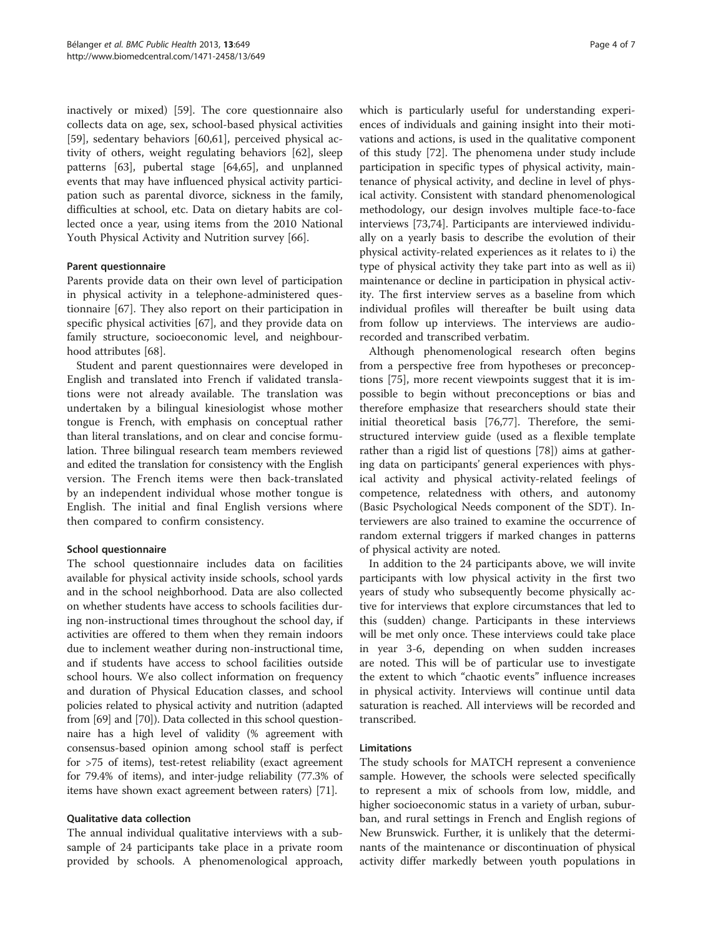inactively or mixed) [\[59](#page-5-0)]. The core questionnaire also collects data on age, sex, school-based physical activities [[59\]](#page-5-0), sedentary behaviors [[60,](#page-5-0)[61\]](#page-6-0), perceived physical activity of others, weight regulating behaviors [\[62](#page-6-0)], sleep patterns [[63](#page-6-0)], pubertal stage [[64,65\]](#page-6-0), and unplanned events that may have influenced physical activity participation such as parental divorce, sickness in the family, difficulties at school, etc. Data on dietary habits are collected once a year, using items from the 2010 National Youth Physical Activity and Nutrition survey [[66\]](#page-6-0).

### Parent questionnaire

Parents provide data on their own level of participation in physical activity in a telephone-administered questionnaire [\[67\]](#page-6-0). They also report on their participation in specific physical activities [\[67\]](#page-6-0), and they provide data on family structure, socioeconomic level, and neighbourhood attributes [\[68](#page-6-0)].

Student and parent questionnaires were developed in English and translated into French if validated translations were not already available. The translation was undertaken by a bilingual kinesiologist whose mother tongue is French, with emphasis on conceptual rather than literal translations, and on clear and concise formulation. Three bilingual research team members reviewed and edited the translation for consistency with the English version. The French items were then back-translated by an independent individual whose mother tongue is English. The initial and final English versions where then compared to confirm consistency.

#### School questionnaire

The school questionnaire includes data on facilities available for physical activity inside schools, school yards and in the school neighborhood. Data are also collected on whether students have access to schools facilities during non-instructional times throughout the school day, if activities are offered to them when they remain indoors due to inclement weather during non-instructional time, and if students have access to school facilities outside school hours. We also collect information on frequency and duration of Physical Education classes, and school policies related to physical activity and nutrition (adapted from [[69](#page-6-0)] and [\[70](#page-6-0)]). Data collected in this school questionnaire has a high level of validity (% agreement with consensus-based opinion among school staff is perfect for >75 of items), test-retest reliability (exact agreement for 79.4% of items), and inter-judge reliability (77.3% of items have shown exact agreement between raters) [[71\]](#page-6-0).

# Qualitative data collection

The annual individual qualitative interviews with a subsample of 24 participants take place in a private room provided by schools. A phenomenological approach, which is particularly useful for understanding experiences of individuals and gaining insight into their motivations and actions, is used in the qualitative component of this study [\[72](#page-6-0)]. The phenomena under study include participation in specific types of physical activity, maintenance of physical activity, and decline in level of physical activity. Consistent with standard phenomenological methodology, our design involves multiple face-to-face interviews [[73,74\]](#page-6-0). Participants are interviewed individually on a yearly basis to describe the evolution of their physical activity-related experiences as it relates to i) the type of physical activity they take part into as well as ii) maintenance or decline in participation in physical activity. The first interview serves as a baseline from which individual profiles will thereafter be built using data from follow up interviews. The interviews are audiorecorded and transcribed verbatim.

Although phenomenological research often begins from a perspective free from hypotheses or preconceptions [[75](#page-6-0)], more recent viewpoints suggest that it is impossible to begin without preconceptions or bias and therefore emphasize that researchers should state their initial theoretical basis [[76,77\]](#page-6-0). Therefore, the semistructured interview guide (used as a flexible template rather than a rigid list of questions [[78](#page-6-0)]) aims at gathering data on participants' general experiences with physical activity and physical activity-related feelings of competence, relatedness with others, and autonomy (Basic Psychological Needs component of the SDT). Interviewers are also trained to examine the occurrence of random external triggers if marked changes in patterns of physical activity are noted.

In addition to the 24 participants above, we will invite participants with low physical activity in the first two years of study who subsequently become physically active for interviews that explore circumstances that led to this (sudden) change. Participants in these interviews will be met only once. These interviews could take place in year 3-6, depending on when sudden increases are noted. This will be of particular use to investigate the extent to which "chaotic events" influence increases in physical activity. Interviews will continue until data saturation is reached. All interviews will be recorded and transcribed.

#### Limitations

The study schools for MATCH represent a convenience sample. However, the schools were selected specifically to represent a mix of schools from low, middle, and higher socioeconomic status in a variety of urban, suburban, and rural settings in French and English regions of New Brunswick. Further, it is unlikely that the determinants of the maintenance or discontinuation of physical activity differ markedly between youth populations in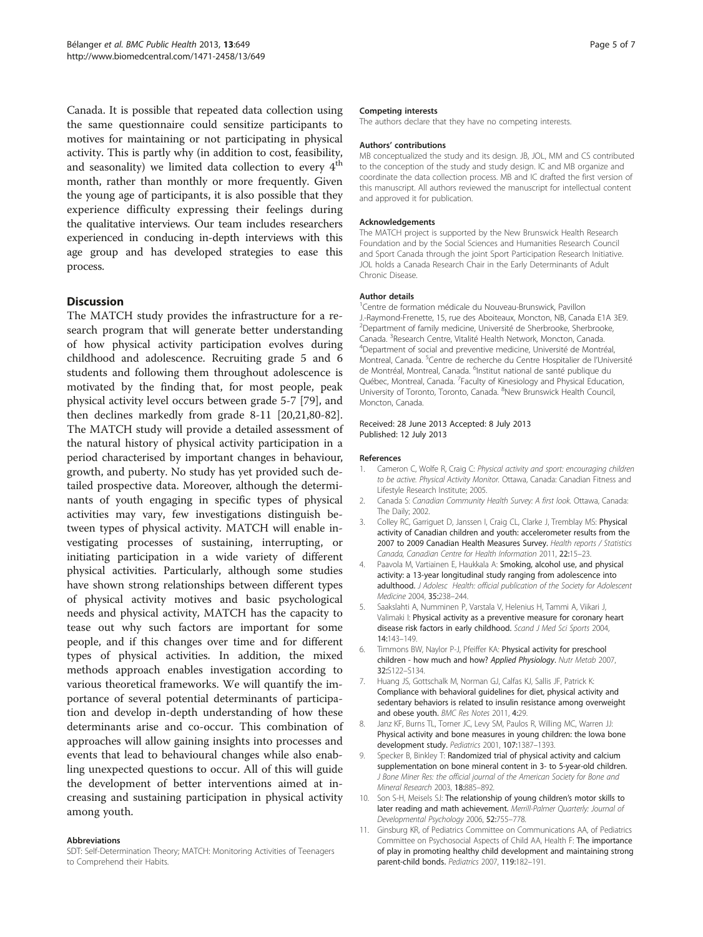<span id="page-4-0"></span>Canada. It is possible that repeated data collection using the same questionnaire could sensitize participants to motives for maintaining or not participating in physical activity. This is partly why (in addition to cost, feasibility, and seasonality) we limited data collection to every  $4<sup>th</sup>$ month, rather than monthly or more frequently. Given the young age of participants, it is also possible that they experience difficulty expressing their feelings during the qualitative interviews. Our team includes researchers experienced in conducing in-depth interviews with this age group and has developed strategies to ease this process.

# **Discussion**

The MATCH study provides the infrastructure for a research program that will generate better understanding of how physical activity participation evolves during childhood and adolescence. Recruiting grade 5 and 6 students and following them throughout adolescence is motivated by the finding that, for most people, peak physical activity level occurs between grade 5-7 [\[79](#page-6-0)], and then declines markedly from grade 8-11 [\[20,21,](#page-5-0)[80-82](#page-6-0)]. The MATCH study will provide a detailed assessment of the natural history of physical activity participation in a period characterised by important changes in behaviour, growth, and puberty. No study has yet provided such detailed prospective data. Moreover, although the determinants of youth engaging in specific types of physical activities may vary, few investigations distinguish between types of physical activity. MATCH will enable investigating processes of sustaining, interrupting, or initiating participation in a wide variety of different physical activities. Particularly, although some studies have shown strong relationships between different types of physical activity motives and basic psychological needs and physical activity, MATCH has the capacity to tease out why such factors are important for some people, and if this changes over time and for different types of physical activities. In addition, the mixed methods approach enables investigation according to various theoretical frameworks. We will quantify the importance of several potential determinants of participation and develop in-depth understanding of how these determinants arise and co-occur. This combination of approaches will allow gaining insights into processes and events that lead to behavioural changes while also enabling unexpected questions to occur. All of this will guide the development of better interventions aimed at increasing and sustaining participation in physical activity among youth.

#### Abbreviations

SDT: Self-Determination Theory; MATCH: Monitoring Activities of Teenagers to Comprehend their Habits.

#### Competing interests

The authors declare that they have no competing interests.

#### Authors' contributions

MB conceptualized the study and its design. JB, JOL, MM and CS contributed to the conception of the study and study design. IC and MB organize and coordinate the data collection process. MB and IC drafted the first version of this manuscript. All authors reviewed the manuscript for intellectual content and approved it for publication.

#### Acknowledgements

The MATCH project is supported by the New Brunswick Health Research Foundation and by the Social Sciences and Humanities Research Council and Sport Canada through the joint Sport Participation Research Initiative. JOL holds a Canada Research Chair in the Early Determinants of Adult Chronic Disease.

#### Author details

<sup>1</sup> Centre de formation médicale du Nouveau-Brunswick, Pavillon J.-Raymond-Frenette, 15, rue des Aboiteaux, Moncton, NB, Canada E1A 3E9. <sup>2</sup>Department of family medicine, Université de Sherbrooke, Sherbrooke, Canada. <sup>3</sup> Research Centre, Vitalité Health Network, Moncton, Canada. <sup>4</sup> Department of social and proventive medicine. Université de Montr <sup>4</sup>Department of social and preventive medicine, Université de Montréal, Montreal, Canada. <sup>5</sup> Centre de recherche du Centre Hospitalier de l'Université de Montréal, Montreal, Canada. <sup>6</sup>Institut national de santé publique du Québec, Montreal, Canada. <sup>7</sup>Faculty of Kinesiology and Physical Education, University of Toronto, Toronto, Canada. <sup>8</sup>New Brunswick Health Council, Moncton, Canada.

#### Received: 28 June 2013 Accepted: 8 July 2013 Published: 12 July 2013

#### References

- 1. Cameron C, Wolfe R, Craig C: Physical activity and sport: encouraging children to be active. Physical Activity Monitor. Ottawa, Canada: Canadian Fitness and Lifestyle Research Institute; 2005.
- 2. Canada S: Canadian Community Health Survey: A first look. Ottawa, Canada: The Daily; 2002.
- Colley RC, Garriguet D, Janssen I, Craig CL, Clarke J, Tremblay MS: Physical activity of Canadian children and youth: accelerometer results from the 2007 to 2009 Canadian Health Measures Survey. Health reports / Statistics Canada, Canadian Centre for Health Information 2011, 22:15–23.
- 4. Paavola M, Vartiainen E, Haukkala A: Smoking, alcohol use, and physical activity: a 13-year longitudinal study ranging from adolescence into adulthood. J Adolesc Health: official publication of the Society for Adolescent Medicine 2004, 35:238–244.
- 5. Saakslahti A, Numminen P, Varstala V, Helenius H, Tammi A, Viikari J, Valimaki I: Physical activity as a preventive measure for coronary heart disease risk factors in early childhood. Scand J Med Sci Sports 2004, 14:143–149.
- 6. Timmons BW, Naylor P-J, Pfeiffer KA: Physical activity for preschool children - how much and how? Applied Physiology. Nutr Metab 2007, 32:S122–S134.
- 7. Huang JS, Gottschalk M, Norman GJ, Calfas KJ, Sallis JF, Patrick K: Compliance with behavioral guidelines for diet, physical activity and sedentary behaviors is related to insulin resistance among overweight and obese youth. BMC Res Notes 2011, 4:29.
- 8. Janz KF, Burns TL, Torner JC, Levy SM, Paulos R, Willing MC, Warren JJ: Physical activity and bone measures in young children: the Iowa bone development study. Pediatrics 2001, 107:1387–1393.
- 9. Specker B, Binkley T: Randomized trial of physical activity and calcium supplementation on bone mineral content in 3- to 5-year-old children. J Bone Miner Res: the official journal of the American Society for Bone and Mineral Research 2003, 18:885–892.
- 10. Son S-H, Meisels SJ: The relationship of young children's motor skills to later reading and math achievement. Merrill-Palmer Quarterly: Journal of Developmental Psychology 2006, 52:755–778.
- 11. Ginsburg KR, of Pediatrics Committee on Communications AA, of Pediatrics Committee on Psychosocial Aspects of Child AA, Health F: The importance of play in promoting healthy child development and maintaining strong parent-child bonds. Pediatrics 2007, 119:182–191.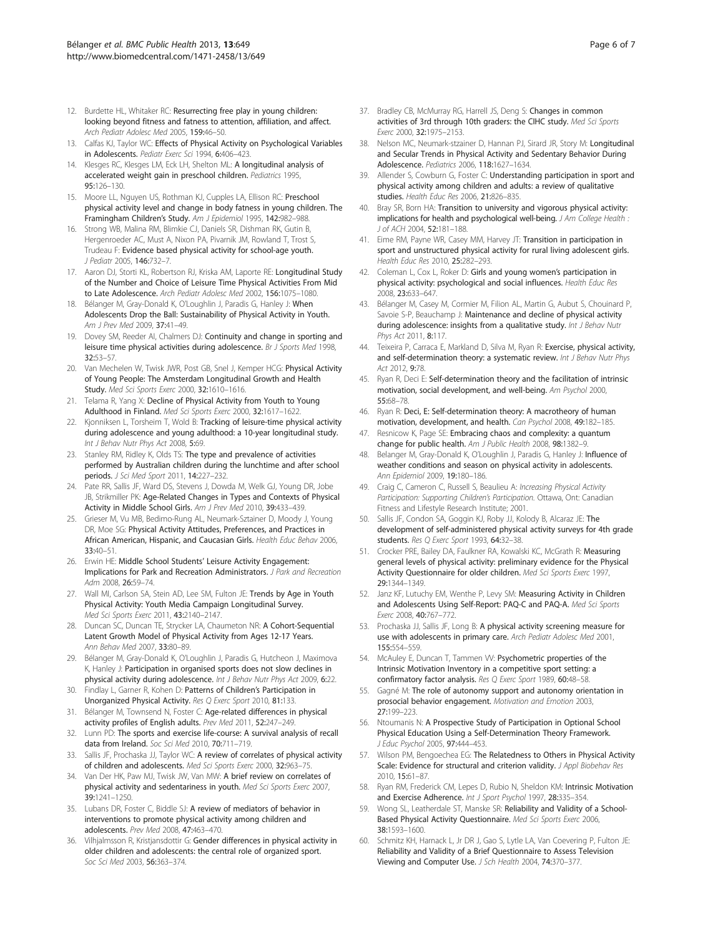- <span id="page-5-0"></span>12. Burdette HL, Whitaker RC: Resurrecting free play in young children: looking beyond fitness and fatness to attention, affiliation, and affect. Arch Pediatr Adolesc Med 2005, 159:46–50.
- 13. Calfas KJ, Taylor WC: Effects of Physical Activity on Psychological Variables in Adolescents. Pediatr Exerc Sci 1994, 6:406–423.
- 14. Klesges RC, Klesges LM, Eck LH, Shelton ML: A longitudinal analysis of accelerated weight gain in preschool children. Pediatrics 1995, 95:126–130.
- 15. Moore LL, Nguyen US, Rothman KJ, Cupples LA, Ellison RC: Preschool physical activity level and change in body fatness in young children. The Framingham Children's Study. Am J Epidemiol 1995, 142:982–988.
- 16. Strong WB, Malina RM, Blimkie CJ, Daniels SR, Dishman RK, Gutin B, Hergenroeder AC, Must A, Nixon PA, Pivarnik JM, Rowland T, Trost S, Trudeau F: Evidence based physical activity for school-age youth. J Pediatr 2005, 146:732–7.
- 17. Aaron DJ, Storti KL, Robertson RJ, Kriska AM, Laporte RE: Longitudinal Study of the Number and Choice of Leisure Time Physical Activities From Mid to Late Adolescence. Arch Pediatr Adolesc Med 2002, 156:1075–1080.
- 18. Bélanger M, Gray-Donald K, O'Loughlin J, Paradis G, Hanley J: When Adolescents Drop the Ball: Sustainability of Physical Activity in Youth. Am J Prev Med 2009, 37:41–49.
- 19. Dovey SM, Reeder AI, Chalmers DJ: Continuity and change in sporting and leisure time physical activities during adolescence. Br J Sports Med 1998, 32:53–57.
- 20. Van Mechelen W, Twisk JWR, Post GB, Snel J, Kemper HCG: Physical Activity of Young People: The Amsterdam Longitudinal Growth and Health Study. Med Sci Sports Exerc 2000, 32:1610–1616.
- 21. Telama R, Yang X: Decline of Physical Activity from Youth to Young Adulthood in Finland. Med Sci Sports Exerc 2000, 32:1617–1622.
- 22. Kionniksen L, Torsheim T, Wold B: Tracking of leisure-time physical activity during adolescence and young adulthood: a 10-year longitudinal study. Int J Behav Nutr Phys Act 2008, 5:69.
- 23. Stanley RM, Ridley K, Olds TS: The type and prevalence of activities performed by Australian children during the lunchtime and after school periods. J Sci Med Sport 2011, 14:227–232.
- 24. Pate RR, Sallis JF, Ward DS, Stevens J, Dowda M, Welk GJ, Young DR, Jobe JB, Strikmiller PK: Age-Related Changes in Types and Contexts of Physical Activity in Middle School Girls. Am J Prev Med 2010, 39:433–439.
- 25. Grieser M, Vu MB, Bedimo-Rung AL, Neumark-Sztainer D, Moody J, Young DR, Moe SG: Physical Activity Attitudes, Preferences, and Practices in African American, Hispanic, and Caucasian Girls. Health Educ Behav 2006, 33:40–51.
- 26. Erwin HE: Middle School Students' Leisure Activity Engagement: Implications for Park and Recreation Administrators. J Park and Recreation Adm 2008, 26:59–74.
- 27. Wall MI, Carlson SA, Stein AD, Lee SM, Fulton JE: Trends by Age in Youth Physical Activity: Youth Media Campaign Longitudinal Survey. Med Sci Sports Exerc 2011, 43:2140–2147.
- 28. Duncan SC, Duncan TE, Strycker LA, Chaumeton NR: A Cohort-Sequential Latent Growth Model of Physical Activity from Ages 12-17 Years. Ann Behav Med 2007, 33:80–89.
- 29. Bélanger M, Gray-Donald K, O'Loughlin J, Paradis G, Hutcheon J, Maximova K, Hanley J: Participation in organised sports does not slow declines in physical activity during adolescence. Int J Behav Nutr Phys Act 2009, 6:22.
- 30. Findlay L, Garner R, Kohen D: Patterns of Children's Participation in Unorganized Physical Activity. Res Q Exerc Sport 2010, 81:133.
- 31. Bélanger M, Townsend N, Foster C: Age-related differences in physical activity profiles of English adults. Prev Med 2011, 52:247–249.
- 32. Lunn PD: The sports and exercise life-course: A survival analysis of recall data from Ireland. Soc Sci Med 2010, 70:711-719.
- Sallis JF, Prochaska JJ, Taylor WC: A review of correlates of physical activity of children and adolescents. Med Sci Sports Exerc 2000, 32:963–75.
- 34. Van Der HK, Paw MJ, Twisk JW, Van MW: A brief review on correlates of physical activity and sedentariness in youth. Med Sci Sports Exerc 2007, 39:1241–1250.
- 35. Lubans DR, Foster C, Biddle SJ: A review of mediators of behavior in interventions to promote physical activity among children and adolescents. Prev Med 2008, 47:463–470.
- 36. Vilhjalmsson R, Kristjansdottir G: Gender differences in physical activity in older children and adolescents: the central role of organized sport. Soc Sci Med 2003, 56:363–374.
- 37. Bradley CB, McMurray RG, Harrell JS, Deng S: Changes in common activities of 3rd through 10th graders: the CIHC study. Med Sci Sports Exerc 2000, 32:1975–2153.
- 38. Nelson MC, Neumark-stzainer D, Hannan PJ, Sirard JR, Story M: Longitudinal and Secular Trends in Physical Activity and Sedentary Behavior During Adolescence. Pediatrics 2006, 118:1627–1634.
- 39. Allender S, Cowburn G, Foster C: Understanding participation in sport and physical activity among children and adults: a review of qualitative studies. Health Educ Res 2006, 21:826–835.
- 40. Bray SR, Born HA: Transition to university and vigorous physical activity: implications for health and psychological well-being. J Am College Health : J of ACH 2004, 52:181–188.
- 41. Eime RM, Payne WR, Casey MM, Harvey JT: Transition in participation in sport and unstructured physical activity for rural living adolescent girls. Health Educ Res 2010, 25:282–293.
- 42. Coleman L, Cox L, Roker D: Girls and young women's participation in physical activity: psychological and social influences. Health Educ Res 2008, 23:633–647.
- 43. Bélanger M, Casey M, Cormier M, Filion AL, Martin G, Aubut S, Chouinard P, Savoie S-P, Beauchamp J: Maintenance and decline of physical activity during adolescence: insights from a qualitative study. Int J Behav Nutr Phys Act 2011, 8:117.
- 44. Teixeira P, Carraca E, Markland D, Silva M, Ryan R: Exercise, physical activity, and self-determination theory: a systematic review. Int J Behav Nutr Phys Act 2012, 9:78.
- 45. Ryan R, Deci E: Self-determination theory and the facilitation of intrinsic motivation, social development, and well-being. Am Psychol 2000, 55:68–78.
- 46. Ryan R: Deci, E: Self-determination theory: A macrotheory of human motivation, development, and health. Can Psychol 2008, 49:182–185.
- 47. Resnicow K, Page SE: Embracing chaos and complexity: a quantum change for public health. Am J Public Health 2008, 98:1382–9.
- 48. Belanger M, Gray-Donald K, O'Loughlin J, Paradis G, Hanley J: Influence of weather conditions and season on physical activity in adolescents. Ann Epidemiol 2009, 19:180–186.
- 49. Craig C, Cameron C, Russell S, Beaulieu A: Increasing Physical Activity Participation: Supporting Children's Participation. Ottawa, Ont: Canadian Fitness and Lifestyle Research Institute; 2001.
- 50. Sallis JF, Condon SA, Goggin KJ, Roby JJ, Kolody B, Alcaraz JE: The development of self-administered physical activity surveys for 4th grade students. Res Q Exerc Sport 1993, 64:32-38.
- 51. Crocker PRE, Bailey DA, Faulkner RA, Kowalski KC, McGrath R: Measuring general levels of physical activity: preliminary evidence for the Physical Activity Questionnaire for older children. Med Sci Sports Exerc 1997, 29:1344–1349.
- 52. Janz KF, Lutuchy EM, Wenthe P, Levy SM: Measuring Activity in Children and Adolescents Using Self-Report: PAQ-C and PAQ-A. Med Sci Sports Exerc 2008, 40:767–772.
- 53. Prochaska JJ, Sallis JF, Long B: A physical activity screening measure for use with adolescents in primary care. Arch Pediatr Adolesc Med 2001, 155:554–559.
- 54. McAuley E, Duncan T, Tammen W: Psychometric properties of the Intrinsic Motivation Inventory in a competitive sport setting: a confirmatory factor analysis. Res Q Exerc Sport 1989, 60:48-58.
- 55. Gagné M: The role of autonomy support and autonomy orientation in prosocial behavior engagement. Motivation and Emotion 2003, 27:199–223.
- 56. Ntoumanis N: A Prospective Study of Participation in Optional School Physical Education Using a Self-Determination Theory Framework. J Educ Psychol 2005, 97:444–453.
- 57. Wilson PM, Bengoechea EG: The Relatedness to Others in Physical Activity Scale: Evidence for structural and criterion validity. J Appl Biobehav Res 2010, 15:61–87.
- 58. Ryan RM, Frederick CM, Lepes D, Rubio N, Sheldon KM: Intrinsic Motivation and Exercise Adherence. Int J Sport Psychol 1997, 28:335-354.
- 59. Wong SL, Leatherdale ST, Manske SR: Reliability and Validity of a School-Based Physical Activity Questionnaire. Med Sci Sports Exerc 2006, 38:1593–1600.
- 60. Schmitz KH, Harnack L, Jr DR J, Gao S, Lytle LA, Van Coevering P, Fulton JE: Reliability and Validity of a Brief Questionnaire to Assess Television Viewing and Computer Use. J Sch Health 2004, 74:370–377.